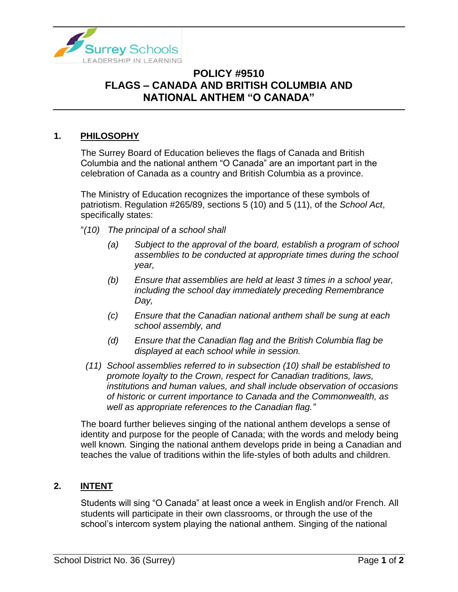

## **POLICY #9510 FLAGS – CANADA AND BRITISH COLUMBIA AND NATIONAL ANTHEM "O CANADA"**

## **1. PHILOSOPHY**

The Surrey Board of Education believes the flags of Canada and British Columbia and the national anthem "O Canada" are an important part in the celebration of Canada as a country and British Columbia as a province.

The Ministry of Education recognizes the importance of these symbols of patriotism. Regulation #265/89, sections 5 (10) and 5 (11), of the *School Act*, specifically states:

- "*(10) The principal of a school shall*
	- *(a) Subject to the approval of the board, establish a program of school assemblies to be conducted at appropriate times during the school year,*
	- *(b) Ensure that assemblies are held at least 3 times in a school year, including the school day immediately preceding Remembrance Day,*
	- *(c) Ensure that the Canadian national anthem shall be sung at each school assembly, and*
	- *(d) Ensure that the Canadian flag and the British Columbia flag be displayed at each school while in session.*
	- *(11) School assemblies referred to in subsection (10) shall be established to promote loyalty to the Crown, respect for Canadian traditions, laws, institutions and human values, and shall include observation of occasions of historic or current importance to Canada and the Commonwealth, as well as appropriate references to the Canadian flag."*

The board further believes singing of the national anthem develops a sense of identity and purpose for the people of Canada; with the words and melody being well known*.* Singing the national anthem develops pride in being a Canadian and teaches the value of traditions within the life-styles of both adults and children.

## **2. INTENT**

Students will sing "O Canada" at least once a week in English and/or French. All students will participate in their own classrooms, or through the use of the school's intercom system playing the national anthem. Singing of the national